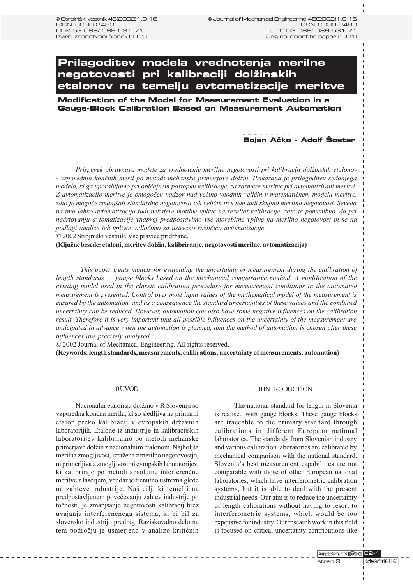# **Prilagoditev modela vrednotenja merilne negotovosti pri kalibraciji dol`inskih etalonov na temelju avtomatizacije meritve**

**Modification of the Model for Measurement Evaluation in a Gauge-Block Calibration Based on Measurement Automation**

## Bojan Ačko - Adolf Šostar

Prispevek obravnava modele za vrednotenje merilne negotovosti pri kalibraciji dolžinskih etalonov - vzporednih konènih meril po metodi mehanske primerjave dolin. Prikazana je prilagoditev sedanjega modela, ki ga uporabljamo pri obièajnem postopku kalibracije, za razmere meritve pri avtomatizirani meritvi. Z avtomatizacijo meritve je omogočen nadzor nad večino vhodnih veličin v matematičnem modelu meritve, zato je mogoče zmanjšati standardne negotovosti teh veličin in s tem tudi skupno merilno negotovost. Seveda pa ima lahko avtomatizacija tudi nekatere motilne vplive na rezultat kalibracije, zato je pomembno, da pri naèrtovanju avtomatizacije vnaprej predpostavimo vse morebitne vplive na merilno negotovost in se na podlagi analize teh vplivov odloèimo za ustrezno razlièico avtomatizacije.

© 2002 Strojniški vestnik. Vse pravice pridržane.

(Ključne besede: etaloni, meritev dolžin, kalibriranje, negotovosti merilne, avtomatizacija)

This paper treats models for evaluating the uncertainty of measurement during the calibration of length standards  $\frac{g}{g}$  gauge blocks based on the mechanical comparative method. A modification of the existing model used in the classic calibration procedure for measurement conditions in the automated measurement is presented. Control over most input values of the mathematical model of the measurement is ensured by the automation, and as a consequence the standard uncertainties of these values and the combined uncertainty can be reduced. However, automation can also have some negative influences on the calibration result. Therefore it is very important that all possible influences on the uncertainty of the measurement are anticipated in advance when the automation is planned, and the method of automation is chosen after these influences are precisely analysed.

© 2002 Journal of Mechanical Engineering. All rights reserved.

(Keywords: length standards, measurements, calibrations, uncertainty of measurements, automation)

#### 0 UVOD

Nacionalni etalon za dolžino v R Sloveniji so vzporedna konèna merila, ki so sledljiva na primarni etalon preko kalibracij v evropskih državnih laboratorijih. Etalone iz industrije in kalibracijskih laboratorijev kalibriramo po metodi mehanske primerjave dolžin z nacionalnim etalonom. Najboljša merilna zmogljivost, izražena z merilno negotovostjo, ni primerljiva z zmogljivostmi evropskih laboratorijev, ki kalibrirajo po metodi absolutne interferenène meritve z laserjem, vendar je trenutno ustrezna glede na zahteve industrije. Naš cilj, ki temelji na predpostavljenem poveèevanju zahtev industrije po točnosti, je zmanjšanje negotovosti kalibracij brez uvajanja interferenènega sistema, ki bi bil za slovensko industrijo predrag. Raziskovalno delo na tem podroèju je usmerjeno v analizo kritiènih

#### 0 INTRODUCTION

The national standard for length in Slovenia is realised with gauge blocks. These gauge blocks are traceable to the primary standard through calibrations in different European national laboratories. The standards from Slovenian industry and various calibration laboratories are calibrated by mechanical comparison with the national standard. Slovenia's best measurement capabilities are not comparable with those of other European national laboratories, which have interferometric calibration systems, but it is able to deal with the present industrial needs. Our aim is to reduce the uncertainty of length calibrations without having to resort to interferometric systems, which would be too expensive for industry. Our research work in this field is focused on critical uncertainty contributions like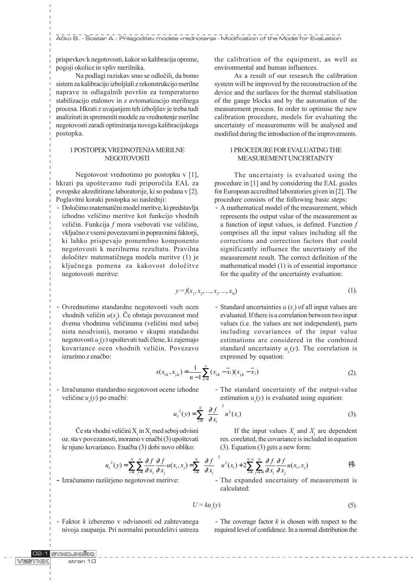prispevkov k negotovosti, kakor so kalibracija opreme, pogoji okolice in vpliv merilnika.

Na podlagi raziskav smo se odloèili, da bomo sistem za kalibracijo izboljšali z rekonstrukcijo merilne naprave in odlagalnih površin za temperaturno stabilizacijo etalonov in z avtomatizacijo merilnega procesa. Hkrati z uvajanjem teh izboljšav je treba tudi analizirati in spremeniti modele za vrednotenje merilne negotovosti zaradi optimiranja novega kalibracijskega postopka.

### 1 POSTOPEK VREDNOTENJA MERILNE **NEGOTOVOSTI**

Negotovost vrednotimo po postopku v [1], hkrati pa upoštevamo tudi priporočila EAL za evropske akreditirane laboratorije, ki so podana v [2]. Poglavitni koraki postopka so naslednji:

- Doloèimo matematièni model meritve, ki predstavlja izhodno velièino meritve kot funkcijo vhodnih veličin. Funkcija f mora vsebovati vse veličine, vkljuèno z vsemi povezavami in popravnimi faktorji, ki lahko prispevajo pomembno komponento negotovosti k merilnemu rezultatu. Pravilna doloèitev matematiènega modela meritve (1) je kljuènega pomena za kakovost doloèitve negotovosti meritve:

the calibration of the equipment, as well as environmental and human influences.

As a result of our research the calibration system will be improved by the reconstruction of the device and the surfaces for the thermal stabilisation of the gauge blocks and by the automation of the measurement process. In order to optimise the new calibration procedure, models for evaluating the uncertainty of measurements will be analysed and modified during the introduction of the improvements.

## 1 PROCEDURE FOR EVALUATING THE MEASUREMENT UNCERTAINTY

The uncertainty is evaluated using the procedure in [1] and by considering the EAL guides for European accredited laboratories given in [2]. The procedure consists of the following basic steps:

- A mathematical model of the measurement, which represents the output value of the measurement as a function of input values, is defined. Function  $f$ comprises all the input values including all the corrections and correction factors that could significantly influence the uncertainty of the measurement result. The correct definition of the mathematical model (1) is of essential importance for the quality of the uncertainty evaluation:

$$
y = f(x_1, x_2, ..., x_i, ..., x_N)
$$
 (1).

- Ovrednotimo standardne negotovosti vseh ocen vhodnih veličin  $u(x_i)$ . Če obstaja povezanost med dvema vhodnima velièinama (velièini med seboj nista neodvisni), moramo v skupni standardni negotovosti  $u_{\rm c}(y)$  upoštevati tudi člene, ki zajemajo kovariance ocen vhodnih velièin. Povezavo izrazimo z enaèbo:
- Standard uncertainties  $u(x_i)$  of all input values are evaluated. If there is a correlation between two input values (i.e. the values are not independent), parts including covariances of the input value estimations are considered in the combined standard uncertainty  $u_c(y)$ . The correlation is expressed by equation:

$$
s(x_{i,k}, x_{j,k}) = \frac{1}{n-1} \sum_{k=1}^{n} (x_{i,k} - \overline{x}_i)(x_{j,k} - \overline{x}_j)
$$
 (2).

- Izraèunamo standardno negotovost ocene izhodne veličine  $u_{c}(y)$  po enačbi:

- The standard uncertainty of the output-value estimation  $u_c(y)$  is evaluated using equation:

$$
u_{c}^{2}(y) = \sum_{i=1}^{N} \left(\frac{\partial f}{\partial x_{i}}\right)^{2} u^{2}(x_{i})
$$
 (3).

Če sta vhodni veličini  $X_i$  in  $X_j$  med seboj odvisni oz. sta v povezanosti, moramo v enačbi (3) upoštevati še njuno kovarianco. Enačba (3) dobi novo obliko:

If the input values  $X_i$  and  $X_j$  are dependent res. corelated, the covariance is included in equation (3). Equation (3) gets a new form:

$$
u_{c}^{2}(y) = \sum_{i=1}^{N} \sum_{j=1}^{N} \frac{\partial f}{\partial x_{i}} \frac{\partial f}{\partial x_{j}} u(x_{i}, x_{j}) = \sum_{i=1}^{N} \left( \frac{\partial f}{\partial x_{i}} \right)^{2} u^{2}(x_{i}) + 2 \sum_{i=1}^{N-1} \sum_{j=i+1}^{N} \frac{\partial f}{\partial x_{i}} \frac{\partial f}{\partial x_{j}} u(x_{i}, x_{j})
$$
(4).

- Izračunamo razširjeno negotovost meritve:

- The expanded uncertainty of measurement is calculated:

$$
U = ku_{c}(y) \tag{5}
$$

- Faktor k izberemo v odvisnosti od zahtevanega nivoja zaupanja. Pri normalni porazdelitvi ustreza

- The coverage factor  $k$  is chosen with respect to the required level of confidence. In a normal distribution the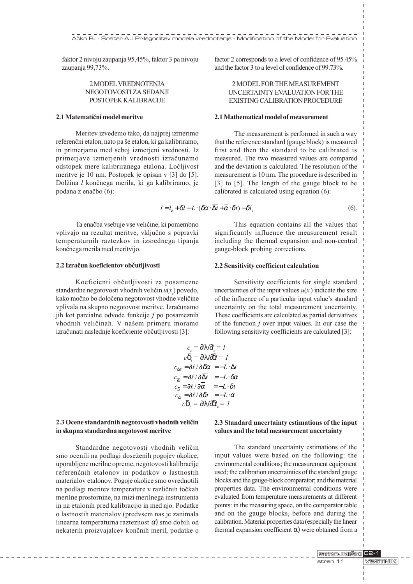faktor 2 nivoju zaupanja 95,45%, faktor 3 pa nivoju zaupanja 99,73%.

## 2 MODEL VREDNOTENJA NEGOTOVOSTI ZA SEDANJI POSTOPEK KALIBRACIJE

## 2.1 Matematièni model meritve

Meritev izvedemo tako, da najprej izmerimo referenčni etalon, nato pa še etalon, ki ga kalibriramo, in primerjamo med seboj izmerjeni vrednosti. Iz primerjave izmerjenih vrednosti izraèunamo odstopek mere kalibriranega etalona. Loèljivost meritve je 10 nm. Postopek je opisan v [3] do [5]. Dolžina l končnega merila, ki ga kalibriramo, je podana z enaèbo (6):

Ta enačba vsebuje vse veličine, ki pomembno vplivajo na rezultat meritve, vkljuèno s popravki temperaturnih raztezkov in izsrednega tipanja konènega merila med meritvijo.

### 2.2 Izraèun koeficientov obèutljivosti

Koeficienti obèutljivosti za posamezne standardne negotovosti vhodnih veličin  $u(x_i)$  povedo, kako moèno bo doloèena negotovost vhodne velièine vplivala na skupno negotovost meritve. Izraèunamo jih kot parcialne odvode funkcije f po posameznih vhodnih veličinah. V našem primeru moramo izraèunati naslednje koeficiente obèutljivosti [3]:

> $c_{e}$  $=$  / l  $e = 1$  $\begin{array}{cc} c & \end{array}$  $=$  /  $l = 1$  $c_{\delta \alpha} = \partial \ell / \partial \delta \alpha = -L \cdot \overline{\Delta t}$  $c_{\overline{\Delta t}} = \partial \ell / \partial \overline{\Delta t} = -L \cdot \delta \alpha$  $c_{\overline{\alpha}} = \partial \ell / \partial \overline{\alpha} = -L \cdot \delta t$  $c_{\delta t} = \partial \ell / \partial \delta t = -L \cdot \overline{\alpha}$  $c_{\nu} = /l$  $v = 1$

## 2.3 Ocene standardnih negotovosti vhodnih velièin in skupna standardna negotovost meritve

Standardne negotovosti vhodnih velièin smo ocenili na podlagi doseženih pogojev okolice, uporabljene merilne opreme, negotovosti kalibracije referenènih etalonov in podatkov o lastnostih materialov etalonov. Pogoje okolice smo ovrednotili na podlagi meritev temperature v razliènih toèkah merilne prostornine, na mizi merilnega instrumenta in na etalonih pred kalibracijo in med njo. Podatke o lastnostih materialov (predvsem nas je zanimala linearna temperaturna razteznost ) smo dobili od nekaterih proizvajalcev konènih meril, podatke o factor 2 corresponds to a level of confidence of 95.45% and the factor 3 to a level of confidence of 99.73%.

## 2 MODEL FOR THE MEASUREMENT UNCERTAINTY EVALUATION FOR THE EXISTING CALIBRATION PROCEDURE

#### 2.1 Mathematical model of measurement

The measurement is performed in such a way that the reference standard (gauge block) is measured first and then the standard to be calibrated is measured. The two measured values are compared and the deviation is calculated. The resolution of the measurement is 10 nm. The procedure is described in [3] to [5]. The length of the gauge block to be calibrated is calculated using equation (6):

$$
l = l_{\rm e} + \delta l - L \cdot (\delta \alpha \cdot \overline{\Delta t} + \overline{\alpha} \cdot \delta t) - \delta l_{\rm v} \tag{6}
$$

This equation contains all the values that significantly influence the measurement result including the thermal expansion and non-central gauge-block probing corrections.

#### 2.2 Sensitivity coefficient calculation

Sensitivity coefficients for single standard uncertainties of the input values  $u(x)$  indicate the size of the influence of a particular input value's standard uncertainty on the total measurement uncertainty. These coefficients are calculated as partial derivatives of the function  $f$  over input values. In our case the following sensitivity coefficients are calculated [3]:

$$
c_e - \frac{1}{\epsilon} - 1
$$
  
\n
$$
c_{\alpha} = \frac{1}{2} \left( \frac{1}{2} - \frac{1}{2} \right)
$$
  
\n
$$
\frac{1}{\alpha} = \frac{1}{2} \left( \frac{1}{2} \right) \frac{1}{2} \left( \frac{1}{2} - \frac{1}{2} \right)
$$
  
\n
$$
\frac{1}{\alpha} = \frac{1}{2} \left( \frac{1}{2} \right) \frac{1}{2} \left( \frac{1}{2} - \frac{1}{2} \right)
$$
  
\n
$$
\frac{1}{\alpha} = \frac{1}{2} \left( \frac{1}{2} \right) \frac{1}{2} \left( \frac{1}{2} - \frac{1}{2} \right)
$$
  
\n
$$
\frac{1}{\alpha} = \frac{1}{2} \left( \frac{1}{2} - \frac{1}{2} \right)
$$
  
\n
$$
\frac{1}{\alpha} = \frac{1}{2} \left( \frac{1}{2} - \frac{1}{2} \right)
$$

#### 2.3 Standard uncertainty estimations of the input values and the total measurement uncertainty

The standard uncertainty estimations of the input values were based on the following: the environmental conditions; the measurement equipment used; the calibration uncertainties of the standard gauge blocks and the gauge-block comparator; and the material properties data. The environmental conditions were evaluated from temperature measurements at different points: in the measuring space, on the comparator table and on the gauge blocks, before and during the calibration. Material properties data (especially the linear thermal expansion coefficient ) were obtained from a

> STROJNIŠKI 02-1 **MESTINIK** stran 11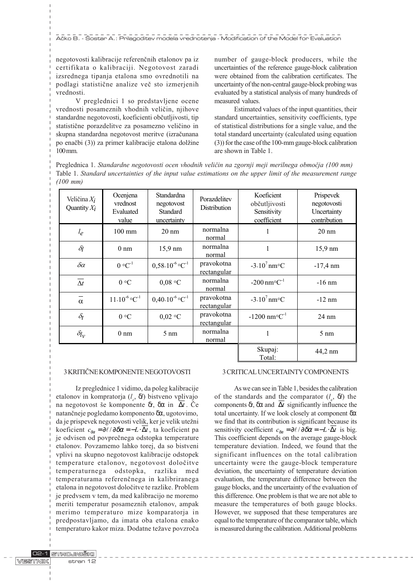Ačko B. - Šostar A.: Prilagoditev modela vrednotenja - Modification of the Model for Evaluation

negotovosti kalibracije referenènih etalonov pa iz certifikata o kalibraciji. Negotovost zaradi izsrednega tipanja etalona smo ovrednotili na podlagi statistiène analize veè sto izmerjenih vrednosti.

V preglednici 1 so predstavljene ocene vrednosti posameznih vhodnih veličin, njihove standardne negotovosti, koeficienti obèutljivosti, tip statistiène porazdelitve za posamezno velièino in skupna standardna negotovost meritve (izraèunana po enačbi (3)) za primer kalibracije etalona dolžine 100 mm.

number of gauge-block producers, while the uncertainties of the reference gauge-block calibration were obtained from the calibration certificates. The uncertainty of the non-central gauge-block probing was evaluated by a statistical analysis of many hundreds of measured values.

Estimated values of the input quantities, their standard uncertainties, sensitivity coefficients, type of statistical distributions for a single value, and the total standard uncertainty (calculated using equation (3)) for the case of the 100-mm gauge-block calibration are shown in Table 1.

Preglednica 1. Standardne negotovosti ocen vhodnih velièin na zgornji meji merilnega obmoèja (100 mm) Table 1. Standard uncertainties of the input value estimations on the upper limit of the measurement range (100 mm)

| Veličina $X_i$<br>Quantity $X_i$ | Ocenjena<br>vrednost<br>Evaluated<br>value | <b>Standardna</b><br>negotovost<br><b>Standard</b><br>uncertainty | Porazdelitev<br>Distribution     | Koeficient<br>občutljivosti<br>Sensitivity<br>coefficient | Prispevek<br>negotovosti<br>Uncertainty<br>contribution |
|----------------------------------|--------------------------------------------|-------------------------------------------------------------------|----------------------------------|-----------------------------------------------------------|---------------------------------------------------------|
| $l_e$                            | $100 \text{ mm}$                           | $20 \text{ nm}$                                                   | normalna<br>normal               |                                                           | $20 \text{ nm}$                                         |
| $\delta_l$                       | $0 \text{ nm}$                             | 15,9 nm                                                           | normalna<br>normal               | 1                                                         | 15,9 nm                                                 |
| $\delta \alpha$                  | $0 °C^{-1}$                                | $0,58.10^{6}$ °C <sup>-1</sup>                                    | pravokotna<br><u>rectangular</u> | $-3.10^{7}$ nm $\rm ^{\circ}C$                            | $-17,4 \text{ nm}$                                      |
| $\overline{\Delta t}$            | 0 °C                                       | $0.08$ °C                                                         | normalna<br>normal               | $-200$ nm $^{\circ}$ C <sup>-1</sup>                      | $-16$ nm                                                |
| $\alpha$                         | $11.10^{-6}$ °C <sup>-1</sup>              | $0,40.10^{6}$ °C <sup>-1</sup>                                    | pravokotna<br>rectangular        | $-3.10^{7}$ nm $\rm ^{\circ}C$                            | $-12$ nm                                                |
| $\delta_t$                       | 0 °C                                       | $0,02$ °C                                                         | pravokotna<br>rectangular        | $-1200$ nm <sup>o</sup> C <sup>-1</sup>                   | $24 \text{ nm}$                                         |
| $\delta l_{\mathcal{V}}$         | $0 \text{ nm}$                             | $5 \text{ nm}$                                                    | normalna<br>normal               | 1                                                         | $5 \text{ nm}$                                          |
|                                  |                                            |                                                                   |                                  | Skupaj:<br>Total:                                         | 44,2 nm                                                 |

## 3 KRITIÈNE KOMPONENTE NEGOTOVOSTI

Iz preglednice 1 vidimo, da poleg kalibracije etalonov in kompratorja (l<sub>e</sub>, l) bistveno vplivajo na negotovost še komponente t, in  $\overline{\Delta t}$ . Če natanèneje pogledamo komponento , ugotovimo, da je prispevek negotovosti velik, ker je velik utežni koeficient  $c_{\delta \alpha} = \partial \ell / \partial \delta \alpha = -L \cdot \Delta t$ , ta koeficient pa je odvisen od povpreènega odstopka temperature etalonov. Povzamemo lahko torej, da so bistveni vplivi na skupno negotovost kalibracije odstopek temperature etalonov, negotovost doloèitve temperaturnega odstopka, razlika med temperaturama referenènega in kalibriranega etalona in negotovost doloèitve te razlike. Problem je predvsem v tem, da med kalibracijo ne moremo meriti temperatur posameznih etalonov, ampak merimo temperaturo mize komparatorja in predpostavljamo, da imata oba etalona enako temperaturo kakor miza. Dodatne težave povzroča

## 3 CRITICAL UNCERTAINTY COMPONENTS

As we can see in Table 1, besides the calibration of the standards and the comparator  $(l_e, l)$  the components t, and  $\overline{\Delta t}$  significantly influence the total uncertainty. If we look closely at component we find that its contribution is significant because its sensitivity coefficient  $c_{\delta \alpha} = \partial \ell / \partial \delta \alpha = -L \cdot \overline{\Delta t}$  is big. This coefficient depends on the average gauge-block temperature deviation. Indeed, we found that the significant influences on the total calibration uncertainty were the gauge-block temperature deviation, the uncertainty of temperature deviation evaluation, the temperature difference between the gauge blocks, and the uncertainty of the evaluation of this difference. One problem is that we are not able to measure the temperatures of both gauge blocks. However, we supposed that these temperatures are equal to the temperature of the comparator table, which is measured during the calibration. Additional problems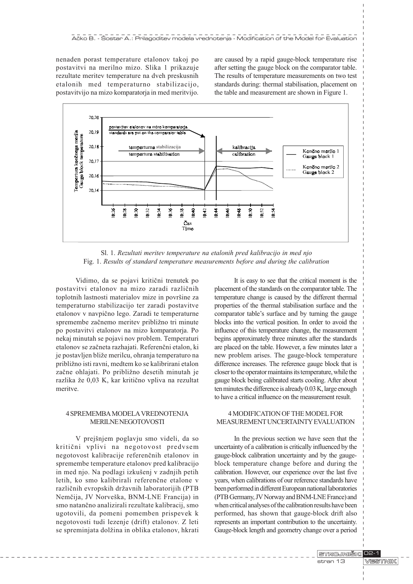nenaden porast temperature etalonov takoj po postavitvi na merilno mizo. Slika 1 prikazuje rezultate meritev temperature na dveh preskusnih etalonih med temperaturno stabilizacijo, postavitvijo na mizo komparatorja in med meritvijo. are caused by a rapid gauge-block temperature rise after setting the gauge block on the comparator table. The results of temperature measurements on two test standards during: thermal stabilisation, placement on the table and measurement are shown in Figure 1.



Sl. 1. Rezultati meritev temperature na etalonih pred kalibracijo in med njo Fig. 1. Results of standard temperature measurements before and during the calibration

Vidimo, da se pojavi kritièni trenutek po postavitvi etalonov na mizo zaradi razliènih toplotnih lastnosti materialov mize in površine za temperaturno stabilizacijo ter zaradi postavitve etalonov v navpièno lego. Zaradi te temperaturne spremembe začnemo meritev približno tri minute po postavitvi etalonov na mizo komparatorja. Po nekaj minutah se pojavi nov problem. Temperaturi etalonov se zaèneta razhajati. Referenèni etalon, ki je postavljen bliže merilcu, ohranja temperaturo na približno isti ravni, medtem ko se kalibrirani etalon začne ohlajati. Po približno desetih minutah je razlika že 0,03 K, kar kritično vpliva na rezultat meritve.

## 4 SPREMEMBA MODELA VREDNOTENJA MERILNE NEGOTOVOSTI

V prejšnjem poglavju smo videli, da so kritièni vplivi na negotovost predvsem negotovost kalibracije referenènih etalonov in spremembe temperature etalonov pred kalibracijo in med njo. Na podlagi izkušenj v zadnjih petih letih, ko smo kalibrirali referenène etalone v različnih evropskih državnih laboratorijih (PTB Nemčija, JV Norveška, BNM-LNE Francija) in smo natanèno analizirali rezultate kalibracij, smo ugotovili, da pomeni pomemben prispevek k negotovosti tudi lezenje (drift) etalonov. Z leti se spreminjata dolžina in oblika etalonov, hkrati

It is easy to see that the critical moment is the placement of the standards on the comparator table. The temperature change is caused by the different thermal properties of the thermal stabilisation surface and the comparator table's surface and by turning the gauge blocks into the vertical position. In order to avoid the influence of this temperature change, the measurement begins approximately three minutes after the standards are placed on the table. However, a few minutes later a new problem arises. The gauge-block temperature difference increases. The reference gauge block that is closer to the operator maintains its temperature, while the gauge block being calibrated starts cooling. After about ten minutes the difference is already 0.03 K, large enough to have a critical influence on the measurement result.

## 4 MODIFICATION OF THE MODEL FOR MEASUREMENT UNCERTAINTY EVALUATION

In the previous section we have seen that the uncertainty of a calibration is critically influenced by the gauge-block calibration uncertainty and by the gaugeblock temperature change before and during the calibration. However, our experience over the last five years, when calibrations of our reference standards have been performed in different European national laboratories (PTB Germany, JV Norway and BNM-LNE France) and when critical analyses of the calibration results have been performed, has shown that gauge-block drift also represents an important contribution to the uncertainty. Gauge-block length and geometry change over a period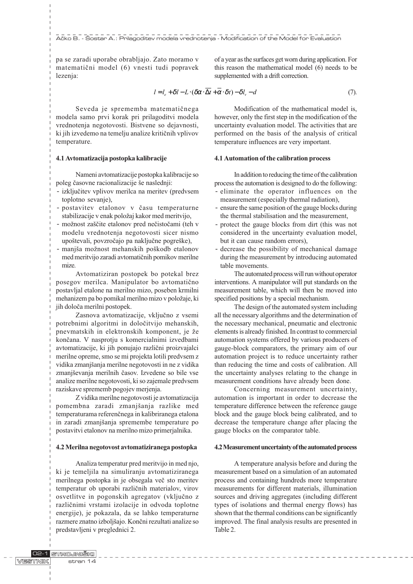pa se zaradi uporabe obrabljajo. Zato moramo v matematièni model (6) vnesti tudi popravek lezenja:

this reason the mathematical model (6) needs to be supplemented with a drift correction.

of a year as the surfaces get worn during application. For

$$
l = l_e + \delta l - L \cdot (\delta \alpha \cdot \overline{\Delta t} + \overline{\alpha} \cdot \delta t) - \delta l_v - d \tag{7}
$$

Seveda je sprememba matematiènega modela samo prvi korak pri prilagoditvi modela vrednotenja negotovosti. Bistvene so dejavnosti, ki jih izvedemo na temelju analize kritičnih vplivov temperature.

#### 4.1 Avtomatizacija postopka kalibracije

Nameni avtomatizacije postopka kalibracije so poleg časovne racionalizacije še naslednii:

- izkljuèitev vplivov merilca na meritev (predvsem toplotno sevanje),
- postavitev etalonov v èasu temperaturne stabilizacije v enak položaj kakor med meritvijo,
- možnost zaščite etalonov pred nečistočami (teh v modelu vrednotenja negotovosti sicer nismo upoštevali, povzročajo pa naključne pogreške),
- maniša možnost mehanskih poškodb etalonov med meritvijo zaradi avtomatiènih pomikov merilne mize.

Avtomatiziran postopek bo potekal brez posegov merilca. Manipulator bo avtomatièno postavljal etalone na merilno mizo, poseben krmilni mehanizem pa bo pomikal merilno mizo v položaje, ki jih doloèa merilni postopek.

Zasnova avtomatizacije, vkljuèno z vsemi potrebnimi algoritmi in doloèitvijo mehanskih, pnevmatskih in elektronskih komponent, je že konèana. V nasprotju s komercialnimi izvedbami avtomatizacije, ki jih ponujajo razlièni proizvajalci merilne opreme, smo se mi projekta lotili predvsem z vidika zmanjšanja merilne negotovosti in ne z vidika zmanjševanja merilnih časov. Izvedene so bile vse analize merilne negotovosti, ki so zajemale predvsem raziskave sprememb pogojev merjenja.

Z vidika merilne negotovosti je avtomatizacija pomembna zaradi zmanjšanja razlike med temperaturama referenènega in kalibriranega etalona in zaradi zmanjšanja spremembe temperature po postavitvi etalonov na merilno mizo primerjalnika.

#### 4.2 Merilna negotovost avtomatiziranega postopka

Analiza temperatur pred meritvijo in med njo, ki je temeljila na simuliranju avtomatiziranega merilnega postopka in je obsegala več sto meritev temperatur ob uporabi razliènih materialov, virov osvetlitve in pogonskih agregatov (vkljuèno z razliènimi vrstami izolacije in odvoda toplotne energije), je pokazala, da se lahko temperaturne razmere znatno izboljajo. Konèni rezultati analize so predstavljeni v preglednici 2.

Modification of the mathematical model is, however, only the first step in the modification of the uncertainty evaluation model. The activities that are performed on the basis of the analysis of critical temperature influences are very important.

#### 4.1 Automation of the calibration process

In addition to reducing the time of the calibration process the automation is designed to do the following: - eliminate the operator influences on the

- measurement (especially thermal radiation), - ensure the same position of the gauge blocks during the thermal stabilisation and the measurement,
- protect the gauge blocks from dirt (this was not considered in the uncertainty evaluation model, but it can cause random errors),
- decrease the possibility of mechanical damage during the measurement by introducing automated table movements.

The automated process will run without operator interventions. A manipulator will put standards on the measurement table, which will then be moved into specified positions by a special mechanism.

The design of the automated system including all the necessary algorithms and the determination of the necessary mechanical, pneumatic and electronic elements is already finished. In contrast to commercial automation systems offered by various producers of gauge-block comparators, the primary aim of our automation project is to reduce uncertainty rather than reducing the time and costs of calibration. All the uncertainty analyses relating to the change in measurement conditions have already been done.

Concerning measurement uncertainty, automation is important in order to decrease the temperature difference between the reference gauge block and the gauge block being calibrated, and to decrease the temperature change after placing the gauge blocks on the comparator table.

#### 4.2 Measurement uncertainty of the automated process

A temperature analysis before and during the measurement based on a simulation of an automated process and containing hundreds more temperature measurements for different materials, illumination sources and driving aggregates (including different types of isolations and thermal energy flows) has shown that the thermal conditions can be significantly improved. The final analysis results are presented in Table 2.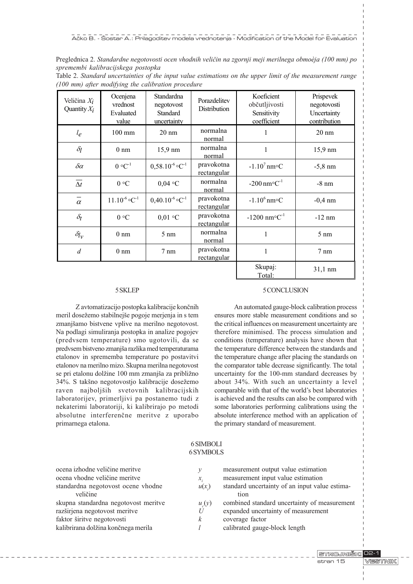Preglednica 2. Standardne negotovosti ocen vhodnih veličin na zgornji meji merilnega obmoèja (100 mm) po spremembi kalibracijskega postopka

| Veličina $X_i$<br>Quantity $X_i$ | Ocenjena<br>vrednost<br>Evaluated<br>value | Standardna<br>negotovost<br>Standard<br>uncertainty | Porazdelitev<br>Distribution | Koeficient<br>občutljivosti<br>Sensitivity<br>coefficient | Prispevek<br>negotovosti<br>Uncertainty<br>contribution |
|----------------------------------|--------------------------------------------|-----------------------------------------------------|------------------------------|-----------------------------------------------------------|---------------------------------------------------------|
| $l_e$                            | $100 \text{ mm}$                           | $20 \text{ nm}$                                     | normalna<br>normal           | 1                                                         | $20 \text{ nm}$                                         |
| $\delta_l$                       | $0 \text{ nm}$                             | 15,9 nm                                             | normalna<br>normal           | 1                                                         | 15,9 nm                                                 |
| $\delta \alpha$                  | $0 °C^{-1}$                                | $0,58.10^{-6}$ °C <sup>-1</sup>                     | pravokotna<br>rectangular    | $-1.10^{7}$ nm°C                                          | $-5,8$ nm                                               |
| $\overline{\Delta t}$            | 0 °C                                       | $0,04$ °C                                           | normalna<br>normal           | $-200$ nm $^{\circ}$ C <sup>-1</sup>                      | $-8$ nm                                                 |
| $\overline{\alpha}$              | $11.10^{-6}$ °C <sup>-1</sup>              | $0,40.10^{-6}$ °C <sup>-1</sup>                     | pravokotna<br>rectangular    | $-1.10^6$ nm°C                                            | $-0,4$ nm                                               |
| $\delta_t$                       | 0 °C                                       | $0,01$ °C                                           | pravokotna<br>rectangular    | $-1200$ nm <sup>o</sup> C <sup>-1</sup>                   | $-12$ nm                                                |
| $\delta l_{\mathcal{V}}$         | $0 \text{ nm}$                             | $5 \text{ nm}$                                      | normalna<br>normal           | 1                                                         | $5 \text{ nm}$                                          |
| $\overline{d}$                   | $0 \text{ nm}$                             | $7 \text{ nm}$                                      | pravokotna<br>rectangular    | 1                                                         | $7 \text{ nm}$                                          |
|                                  |                                            |                                                     |                              | Skupaj:<br>Total:                                         | 31,1 nm                                                 |

Table 2. Standard uncertainties of the input value estimations on the upper limit of the measurement range (100 mm) after modifying the calibration procedure

#### 5 SKLEP

Z avtomatizacijo postopka kalibracije konènih meril dosežemo stabilnejše pogoje merjenja in s tem zmanjšamo bistvene vplive na merilno negotovost. Na podlagi simuliranja postopka in analize pogojev (predvsem temperature) smo ugotovili, da se predvsem bistveno zmanja razlika med temperaturama etalonov in sprememba temperature po postavitvi etalonov na merilno mizo. Skupna merilna negotovost se pri etalonu dolžine 100 mm zmanjša za približno 34%. S takšno negotovostjo kalibracije dosežemo raven najboljših svetovnih kalibracijskih laboratorijev, primerljivi pa postanemo tudi z nekaterimi laboratoriji, ki kalibrirajo po metodi absolutne interferenène meritve z uporabo primarnega etalona.

#### 5 CONCLUSION

An automated gauge-block calibration process ensures more stable measurement conditions and so the critical influences on measurement uncertainty are therefore minimised. The process simulation and conditions (temperature) analysis have shown that the temperature difference between the standards and the temperature change after placing the standards on the comparator table decrease significantly. The total uncertainty for the 100-mm standard decreases by about 34%. With such an uncertainty a level comparable with that of the world's best laboratories is achieved and the results can also be compared with some laboratories performing calibrations using the absolute interference method with an application of the primary standard of measurement.

| 6 SYMBOLS                |                                                                                                                             |  |  |  |  |  |
|--------------------------|-----------------------------------------------------------------------------------------------------------------------------|--|--|--|--|--|
| у<br>$x_{i}$<br>$u(x_i)$ | measurement output value estimation<br>measurement input value estimation<br>standard uncertainty of an input value estima- |  |  |  |  |  |
| $u_{c}(y)$               | tion<br>combined standard uncertainty of measurement                                                                        |  |  |  |  |  |
| $\boldsymbol{k}$         | expanded uncertainty of measurement<br>coverage factor<br>calibrated gauge-block length                                     |  |  |  |  |  |
|                          | U                                                                                                                           |  |  |  |  |  |

6 SIMBOLI